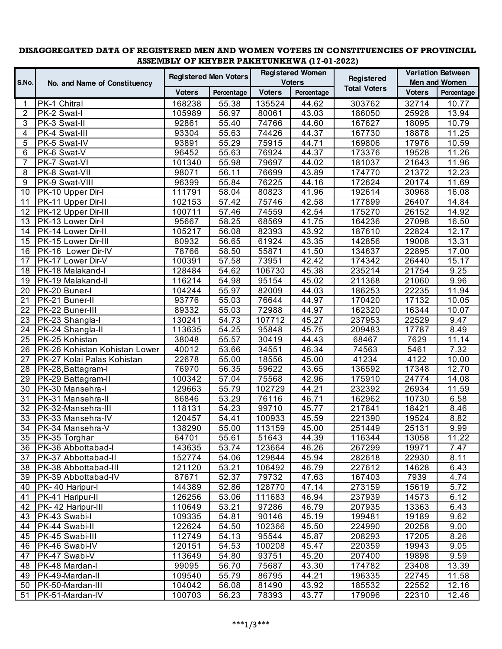## **DISAGGREGATED DATA OF REGISTERED MEN AND WOMEN VOTERS IN CONSTITUENCIES OF PROVINCIAL ASSEMBLY OF KHYBER PAKHTUNKHWA (17-01-2022)**

|                | No. and Name of Constituency  | <b>Registered Men Voters</b> |            | <b>Registered Women</b> |                    |                     | <b>Variation Between</b> |                    |
|----------------|-------------------------------|------------------------------|------------|-------------------------|--------------------|---------------------|--------------------------|--------------------|
| S.No.          |                               |                              |            | <b>Voters</b>           |                    | Registered          | <b>Men and Women</b>     |                    |
|                |                               | <b>Voters</b>                | Percentage | <b>Voters</b>           | Percentage         | <b>Total Voters</b> | <b>Voters</b>            | Percentage         |
| 1              | PK-1 Chitral                  | 168238                       | 55.38      | 135524                  | 44.62              | 303762              | 32714                    | 10.77              |
| 2              | PK-2 Swat-I                   | 105989                       | 56.97      | 80061                   | 43.03              | 186050              | 25928                    | 13.94              |
| 3              | PK-3 Swat-II                  | 92861                        | 55.40      | 74766                   | 44.60              | 167627              | 18095                    | 10.79              |
| 4              | PK-4 Swat-III                 | 93304                        | 55.63      | 74426                   | 44.37              | 167730              | 18878                    | 11.25              |
| 5              | PK-5 Swat-IV                  | 93891                        | 55.29      | 75915                   | 44.71              | 169806              | 17976                    | 10.59              |
| 6              | PK-6 Swat-V                   | 96452                        | 55.63      | 76924                   | 44.37              | 173376              | 19528                    | 11.26              |
| $\overline{7}$ | PK-7 Swat-VI                  | 101340                       | 55.98      | 79697                   | 44.02              | 181037              | 21643                    | 11.96              |
| 8              | PK-8 Swat-VII                 | 98071                        | 56.11      | 76699                   | 43.89              | 174770              | 21372                    | 12.23              |
| 9              | PK-9 Swat-VIII                | 96399                        | 55.84      | 76225                   | 44.16              | 172624              | 20174                    | 11.69              |
| 10             | PK-10 Upper Dir-I             | 111791                       | 58.04      | 80823                   | 41.96              | 192614              | 30968                    | 16.08              |
| 11             | PK-11 Upper Dir-II            | 102153                       | 57.42      | 75746                   | 42.58              | 177899              | 26407                    | 14.84              |
| 12             | PK-12 Upper Dir-III           | 100711                       | 57.46      | 74559                   | 42.54              | 175270              | 26152                    | 14.92              |
| 13             | PK-13 Lower Dir-I             | 95667                        | 58.25      | 68569                   | $\overline{4}1.75$ | 164236              | 27098                    | 16.50              |
| 14             | PK-14 Lower Dir-II            | 105217                       | 56.08      | 82393                   | 43.92              | 187610              | 22824                    | 12.17              |
| 15             | PK-15 Lower Dir-III           | 80932                        | 56.65      | 61924                   | 43.35              | 142856              | 19008                    | 13.31              |
| 16             | PK-16 Lower Dir-IV            | 78766                        | 58.50      | 55871                   | $\overline{4}1.50$ | 134637              | 22895                    | 17.00              |
| 17             | PK-17 Lower Dir-V             | 100391                       | 57.58      | 73951                   | 42.42              | 174342              | 26440                    | 15.17              |
| 18             | PK-18 Malakand-I              | 128484                       | 54.62      | 106730                  | 45.38              | 235214              | 21754                    | 9.25               |
| 19             | PK-19 Malakand-II             | 116214                       | 54.98      | 95154                   | 45.02              | 211368              | 21060                    | 9.96               |
| 20             | PK-20 Buner-I                 | 104244                       | 55.97      | 82009                   | 44.03              | 186253              | 22235                    | 11.94              |
| 21             | PK-21 Buner-II                | 93776                        | 55.03      | 76644                   | 44.97              | 170420              | 17132                    | 10.05              |
| 22             | PK-22 Buner-III               | 89332                        | 55.03      | 72988                   | 44.97              | 162320              | 16344                    | 10.07              |
| 23             | PK-23 Shangla-I               | 130241                       | 54.73      | 107712                  | 45.27              | 237953              | 22529                    | 9.47               |
| 24             | PK-24 Shangla-II              | 113635                       | 54.25      | 95848                   | 45.75              | 209483              | 17787                    | 8.49               |
| 25             | PK-25 Kohistan                | 38048                        | 55.57      | 30419                   | 44.43              | 68467               | 7629                     | $\overline{1}1.14$ |
| 26             | PK-26 Kohistan Kohistan Lower | 40012                        | 53.66      | 34551                   | 46.34              | 74563               | 5461                     | 7.32               |
| 27             | PK-27 Kolai Palas Kohistan    | 22678                        | 55.00      | 18556                   | 45.00              | 41234               | 4122                     | 10.00              |
| 28             | <b>PK-28, Battagram-I</b>     | 76970                        | 56.35      | 59622                   | 43.65              | 136592              | 17348                    | 12.70              |
| 29             | PK-29 Battagram-II            | 100342                       | 57.04      | 75568                   | 42.96              | 175910              | 24774                    | 14.08              |
| 30             | PK-30 Mansehra-I              | 129663                       | 55.79      | 102729                  | $\overline{4}4.21$ | 232392              | 26934                    | 11.59              |
| 31             | PK-31 Mansehra-II             | 86846                        | 53.29      | 76116                   | $\overline{46.71}$ | 162962              | 10730                    | 6.58               |
| 32             | PK-32-Mansehra-III            | 118131                       | 54.23      | 99710                   | 45.77              | 217841              | 18421                    | 8.46               |
| 33             | PK-33 Mansehra-IV             | 120457                       | 54.41      | 100933                  | 45.59              | 221390              | 19524                    | 8.82               |
| 34             | PK-34 Mansehra-V              | 138290                       | 55.00      | 113159                  | 45.00              | 251449              | 25131                    | 9.99               |
|                | 35 PK-35 Torghar              | 64701                        | 55.61      | 51643                   | 44.39              | 116344              | 13058                    | 11.22              |
| 36             | PK-36 Abbottabad-I            | 143635                       | 53.74      | 123664                  | 46.26              | 267299              | 19971                    | 7.47               |
| 37             | PK-37 Abbottabad-II           | 152774                       | 54.06      | 129844                  | 45.94              | 282618              | 22930                    | 8.11               |
| 38             | PK-38 Abbottabad-III          | 121120                       | 53.21      | 106492                  | 46.79              | 227612              | 14628                    | 6.43               |
| 39             | PK-39 Abbottabad-IV           | 87671                        | 52.37      | 79732                   | 47.63              | 167403              | 7939                     | 4.74               |
| 40             | PK-40 Haripur-I               | 144389                       | 52.86      | 128770                  | 47.14              | 273159              | 15619                    | 5.72               |
| 41             | PK-41 Haripur-II              | 126256                       | 53.06      | 111683                  | 46.94              | 237939              | 14573                    | 6.12               |
| 42             | PK-42 Haripur-III             | 110649                       | 53.21      | 97286                   | 46.79              | 207935              | 13363                    | 6.43               |
| 43             | PK-43 Swabi-I                 | 109335                       | 54.81      | 90146                   | 45.19              | 199481              | 19189                    | 9.62               |
| 44             | PK-44 Swabi-II                | 122624                       | 54.50      | 102366                  | 45.50              | 224990              | 20258                    | 9.00               |
| 45             | PK-45 Swabi-III               | 112749                       | 54.13      | 95544                   | 45.87              | 208293              | 17205                    | 8.26               |
| 46             | PK-46 Swabi-IV                | 120151                       | 54.53      | 100208                  | 45.47              | 220359              | 19943                    | 9.05               |
| 47             | PK-47 Swabi-V                 | 113649                       | 54.80      | 93751                   | 45.20              | 207400              | 19898                    | 9.59               |
| 48             | PK-48 Mardan-I                | 99095                        | 56.70      | 75687                   | 43.30              | 174782              | 23408                    | 13.39              |
| 49             | PK-49-Mardan-II               | 109540                       | 55.79      | 86795                   | 44.21              | 196335              | 22745                    | 11.58              |
| 50             | PK-50-Mardan-III              | 104042                       | 56.08      | 81490                   | 43.92              | 185532              | 22552                    | 12.16              |
| 51             | PK-51-Mardan-IV               | 100703                       | 56.23      | 78393                   | 43.77              | 179096              | 22310                    | 12.46              |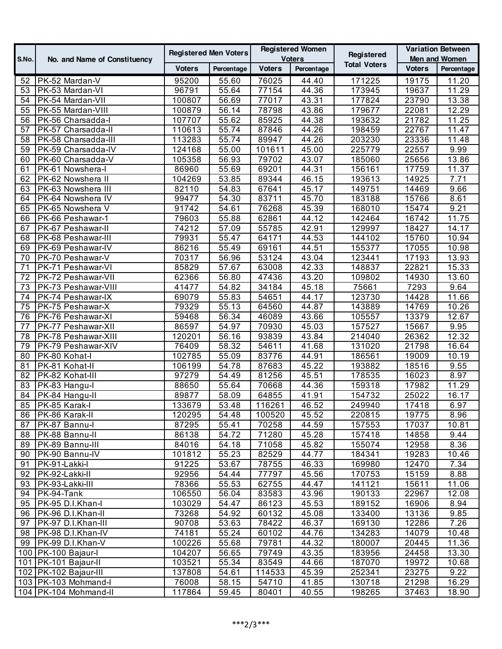| S.No.    | No. and Name of Constituency            | <b>Registered Men Voters</b> |                | <b>Registered Women</b><br><b>Voters</b> |                    | Registered          | <b>Variation Between</b><br><b>Men and Women</b> |                   |
|----------|-----------------------------------------|------------------------------|----------------|------------------------------------------|--------------------|---------------------|--------------------------------------------------|-------------------|
|          |                                         | <b>Voters</b>                | Percentage     | <b>Voters</b>                            | Percentage         | <b>Total Voters</b> | <b>Voters</b>                                    | Percentage        |
| 52       | PK-52 Mardan-V                          | 95200                        | 55.60          | 76025                                    | 44.40              | 171225              | 19175                                            | 11.20             |
| 53       | PK-53 Mardan-VI                         | 96791                        | 55.64          | 77154                                    | 44.36              | 173945              | 19637                                            | 11.29             |
| 54       | PK-54 Mardan-VII                        | 100807                       | 56.69          | 77017                                    | $\overline{4}3.31$ | 177824              | 23790                                            | 13.38             |
| 55       | PK-55 Mardan-VIII                       | 100879                       | 56.14          | 78798                                    | 43.86              | 179677              | 22081                                            | 12.29             |
| 56       | PK-56 Charsadda-I                       | 107707                       | 55.62          | 85925                                    | 44.38              | 193632              | 21782                                            | 11.25             |
| 57       | PK-57 Charsadda-II                      | 110613                       | 55.74          | 87846                                    | 44.26              | 198459              | 22767                                            | 11.47             |
| 58       | PK-58 Charsadda-III                     | 113283                       | 55.74          | 89947                                    | 44.26              | 203230              | 23336                                            | 11.48             |
| 59       | PK-59 Charsadda-IV                      | 124168                       | 55.00          | 101611                                   | 45.00              | 225779              | 22557                                            | 9.99              |
| 60       | PK-60 Charsadda-V                       | 105358                       | 56.93          | 79702                                    | 43.07              | 185060              | 25656                                            | 13.86             |
| 61       | PK-61 Nowshera-I                        | 86960                        | 55.69          | 69201                                    | 44.31              | 156161              | 17759                                            | 11.37             |
| 62       | PK-62 Nowshera II                       | 104269                       | 53.85          | 89344                                    | 46.15              | 193613              | 14925                                            | 7.71              |
| 63       | PK-63 Nowshera III                      | 82110                        | 54.83          | 67641                                    | 45.17              | 149751              | 14469                                            | 9.66              |
| 64       | PK-64 Nowshera IV                       | 99477                        | 54.30          | 83711                                    | 45.70              | 183188              | 15766                                            | 8.61              |
| 65       | PK-65 Nowshera V                        | 91742                        | 54.61          | 76268                                    | 45.39              | 168010              | 15474                                            | 9.21              |
| 66       | PK-66 Peshawar-1                        | 79603                        | 55.88          | 62861                                    | 44.12              | 142464              | 16742                                            | 11.75             |
| 67       | PK-67 Peshawar-II                       | 74212                        | 57.09          | 55785                                    | 42.91              | 129997              | 18427                                            | 14.17             |
| 68       | PK-68 Peshawar-III                      | 79931                        | 55.47          | 64171                                    | 44.53              | 144102              | 15760                                            | 10.94             |
| 69       | PK-69 Peshawar-IV                       | 86216                        | 55.49          | 69161                                    | 44.51              | 155377              | 17055                                            | 10.98             |
| 70       | PK-70 Peshawar-V                        | 70317                        | 56.96          | 53124                                    | 43.04              | 123441              | 17193                                            | 13.93             |
| 71       | PK-71 Peshawar-VI                       | 85829                        | 57.67          | 63008                                    | 42.33              | 148837              | 22821                                            | 15.33             |
| 72       | PK-72 Peshawar-VII                      | 62366                        | 56.80          | 47436                                    | 43.20              | 109802              | 14930                                            | 13.60             |
| 73       | PK-73 Peshawar-VIII                     | 41477                        | 54.82          | 34184                                    | 45.18              | 75661               | 7293                                             | 9.64              |
| 74       | PK-74 Peshawar-IX                       | 69079                        | 55.83          | 54651                                    | 44.17              | 123730              | 14428                                            | 11.66             |
| 75       | PK-75 Peshawar-X                        | 79329                        | 55.13          | 64560                                    | 44.87              | 143889              | 14769                                            | 10.26             |
| 76       | PK-76 Peshawar-XI                       | 59468                        | 56.34          | 46089                                    | 43.66              | 105557              | 13379                                            | 12.67             |
| 77       | PK-77 Peshawar-XII                      | 86597                        | 54.97          | 70930                                    | 45.03              | 157527              | 15667                                            | 9.95              |
| 78       | PK-78 Peshawar-XIII                     | 120201                       | 56.16          | 93839                                    | 43.84              | 214040              | 26362                                            | 12.32             |
| 79       | PK-79 Peshawar-XIV                      | 76409                        | 58.32          | 54611                                    | 41.68              | 131020              | 21798                                            | 16.64             |
| 80       | PK-80 Kohat-I                           | 102785                       | 55.09          | 83776                                    | 44.91              | 186561              | 19009                                            | 10.19             |
| 81       | PK-81 Kohat-II                          | 106199                       | 54.78          | 87683                                    | 45.22              | 193882              | 18516                                            | 9.55              |
| 82       | PK-82 Kohat-III                         | 97279                        | 54.49          | 81256                                    | 45.51              | 178535              | 16023                                            | 8.97              |
| 83       | PK-83 Hangu-I                           | 88650                        | 55.64          | 70668                                    | 44.36              | 159318              | 17982                                            | 11.29             |
| 84       | PK-84 Hangu-II                          | 89877                        | 58.09          | 64855                                    | 41.91              | 154732              | 25022                                            | 16.17             |
| 85       | PK-85 Karak-I                           | 133679                       | 53.48          | 116261                                   | 46.52              | 249940              | 17418                                            | 6.97              |
| 86       | PK-86 Karak-II                          | 120295                       | 54.48          | 100520                                   | 45.52              | 220815              | 19775                                            | 8.96              |
| 87       | PK-87 Bannu-l                           | 87295                        | 55.41          | 70258                                    | 44.59              | 157553              | 17037                                            | 10.81             |
| 88       | PK-88 Bannu-II                          | 86138                        | 54.72          | 71280                                    | 45.28              | 157418              | 14858                                            | 9.44              |
| 89       | PK-89 Bannu-III                         | 84016                        | 54.18          | 71058                                    | 45.82              | 155074              | 12958                                            | 8.36              |
| 90       | PK-90 Bannu-IV                          | 101812                       | 55.23          | 82529                                    | 44.77              | 184341              | 19283                                            | 10.46             |
| 91       | PK-91-Lakki-I                           | 91225                        | 53.67          | 78755                                    | 46.33              | 169980              | 12470                                            | 7.34              |
| 92       | PK-92-Lakki-II                          | 92956                        | 54.44          | 77797                                    | 45.56              | 170753              | 15159                                            | 8.88              |
| 93       | PK-93-Lakki-III                         | 78366                        | 55.53          | 62755                                    | 44.47              | 141121              | 15611                                            | 11.06             |
| 94       | PK-94-Tank                              | 106550                       | 56.04          | 83583                                    | 43.96              | 190133              | 22967                                            | 12.08             |
| 95<br>96 | PK-95 D.I.Khan-I<br>PK-96 D.I.Khan-II   | 103029                       | 54.47          | 86123<br>60132                           | 45.53              | 189152              | 16906                                            | 8.94<br>9.85      |
| 97       |                                         | 73268                        | 54.92          | 78422                                    | 45.08              | 133400              | 13136                                            | $\overline{7.26}$ |
| 98       | PK-97 D.I.Khan-III<br>PK-98 D.I.Khan-IV | 90708<br>74181               | 53.63<br>55.24 | 60102                                    | 46.37<br>44.76     | 169130<br>134283    | 12286<br>14079                                   | 10.48             |
| 99       | PK-99 D.I.Khan-V                        | 100226                       | 55.68          | 79781                                    | 44.32              | 180007              | 20445                                            | 11.36             |
|          | 100 PK-100 Bajaur-I                     | 104207                       | 56.65          | 79749                                    | 43.35              | 183956              | 24458                                            | 13.30             |
|          | 101   PK-101 Bajaur-II                  | 103521                       | 55.34          | 83549                                    | 44.66              | 187070              | 19972                                            | 10.68             |
|          | 102 PK-102 Bajaur-III                   | 137808                       | 54.61          | 114533                                   | 45.39              | 252341              | 23275                                            | 9.22              |
|          | 103 PK-103 Mohmand-I                    | 76008                        | 58.15          | 54710                                    | 41.85              | 130718              | 21298                                            | 16.29             |
|          | 104   PK-104 Mohmand-II                 | 117864                       | 59.45          | 80401                                    | 40.55              | 198265              | 37463                                            | 18.90             |
|          |                                         |                              |                |                                          |                    |                     |                                                  |                   |